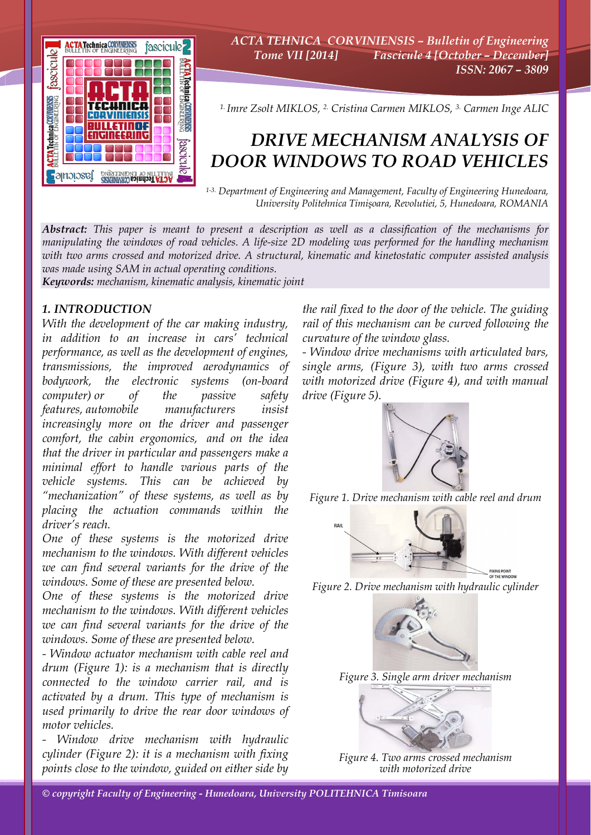

*ACTA TEHNICA CORVINIENSIS – Bulletin of Engineering Tome VII [2014] Fascicule 4 [October – December] ISSN: 2067 – 3809* 

*1. Imre Zsolt MIKLOS, 2. Cristina Carmen MIKLOS, 3. Carmen Inge ALIC*

# *DRIVE MECHANISM ANALYSIS OF DOOR WINDOWS TO ROAD VEHICLES*

*1-3. Department of Engineering and Management, Faculty of Engineering Hunedoara, University Politehnica Timişoara, Revolutiei, 5, Hunedoara, ROMANIA*

*Abstract: This paper is meant to present a description as well as a classification of the mechanisms for manipulating the windows of road vehicles. A life-size 2D modeling was performed for the handling mechanism with two arms crossed and motorized drive. A structural, kinematic and kinetostatic computer assisted analysis was made using SAM in actual operating conditions.* 

*Keywords: mechanism, kinematic analysis, kinematic joint*

## *1. INTRODUCTION*

*With the development of the car making industry, in addition to an increase in cars' technical performance, as well as the development of engines, transmissions, the improved aerodynamics of bodywork, the electronic systems (on-board computer) or of the passive safety features, automobile manufacturers insist increasingly more on the driver and passenger comfort, the cabin ergonomics, and on the idea that the driver in particular and passengers make a minimal effort to handle various parts of the vehicle systems. This can be achieved by "mechanization" of these systems, as well as by placing the actuation commands within the driver's reach.* 

*One of these systems is the motorized drive mechanism to the windows. With different vehicles we can find several variants for the drive of the windows. Some of these are presented below.* 

*One of these systems is the motorized drive mechanism to the windows. With different vehicles we can find several variants for the drive of the windows. Some of these are presented below.* 

*- Window actuator mechanism with cable reel and drum (Figure 1): is a mechanism that is directly connected to the window carrier rail, and is activated by a drum. This type of mechanism is used primarily to drive the rear door windows of motor vehicles.* 

*- Window drive mechanism with hydraulic cylinder (Figure 2): it is a mechanism with fixing points close to the window, guided on either side by* 

*the rail fixed to the door of the vehicle. The guiding rail of this mechanism can be curved following the curvature of the window glass.* 

*- Window drive mechanisms with articulated bars, single arms, (Figure 3), with two arms crossed with motorized drive (Figure 4), and with manual drive (Figure 5).* 



*Figure 1. Drive mechanism with cable reel and drum* 







*Figure 4. Two arms crossed mechanism with motorized drive*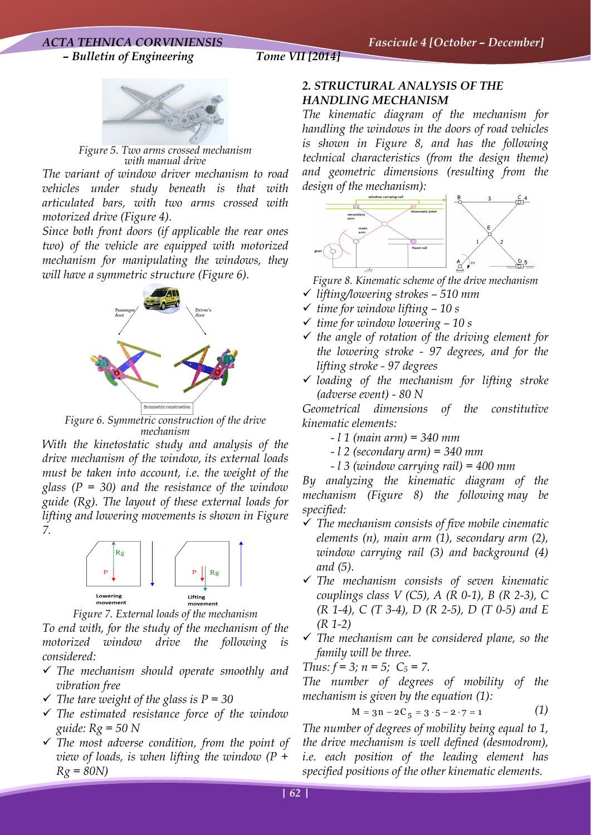## *ACTA TEHNICA CORVINIENSIS Fascicule 4 [October – December] – Bulletin of Engineering Tome VII [2014]*



*Figure 5. Two arms crossed mechanism with manual drive* 

*The variant of window driver mechanism to road vehicles under study beneath is that with articulated bars, with two arms crossed with motorized drive (Figure 4).* 

*Since both front doors (if applicable the rear ones two) of the vehicle are equipped with motorized mechanism for manipulating the windows, they will have a symmetric structure (Figure 6).* 



*Figure 6. Symmetric construction of the drive mechanism* 

*With the kinetostatic study and analysis of the drive mechanism of the window, its external loads must be taken into account, i.e. the weight of the glass (P = 30) and the resistance of the window guide (Rg). The layout of these external loads for lifting and lowering movements is shown in Figure 7.* 



*Figure 7. External loads of the mechanism* 

*To end with, for the study of the mechanism of the motorized window drive the following is considered:* 

- 9 *The mechanism should operate smoothly and vibration free*
- $\checkmark$  The tare weight of the glass is  $P = 30$
- 9 *The estimated resistance force of the window guide: Rg = 50 N*
- 9 *The most adverse condition, from the point of view of loads, is when lifting the window (P + Rg = 80N)*

# *2. STRUCTURAL ANALYSIS OF THE HANDLING MECHANISM*

*The kinematic diagram of the mechanism for handling the windows in the doors of road vehicles is shown in Figure 8, and has the following technical characteristics (from the design theme) and geometric dimensions (resulting from the design of the mechanism):* 



 *Figure 8. Kinematic scheme of the drive mechanism* 

- 9 *lifting/lowering strokes 510 mm*
- 9 *time for window lifting 10 s*
- 9 *time for window lowering 10 s*
- 9 *the angle of rotation of the driving element for the lowering stroke - 97 degrees, and for the lifting stroke - 97 degrees*
- 9 *loading of the mechanism for lifting stroke (adverse event) - 80 N*

*Geometrical dimensions of the constitutive kinematic elements:* 

- *l 1 (main arm) = 340 mm*
- *l 2 (secondary arm) = 340 mm*
- *l 3 (window carrying rail) = 400 mm*

*By analyzing the kinematic diagram of the mechanism (Figure 8) the following may be specified:* 

- 9 *The mechanism consists of five mobile cinematic elements (n), main arm (1), secondary arm (2), window carrying rail (3) and background (4) and (5).*
- 9 *The mechanism consists of seven kinematic couplings class V (C5), A (R 0-1), B (R 2-3), C (R 1-4), C (T 3-4), D (R 2-5), D (T 0-5) and E (R 1-2)*
- 9 *The mechanism can be considered plane, so the family will be three.*

*Thus:*  $f = 3$ *;*  $n = 5$ *;*  $C_5 = 7$ *.* 

*The number of degrees of mobility of the mechanism is given by the equation (1):* 

$$
M = 3n - 2C_5 = 3 \cdot 5 - 2 \cdot 7 = 1 \tag{1}
$$

*The number of degrees of mobility being equal to 1, the drive mechanism is well defined (desmodrom), i.e. each position of the leading element has specified positions of the other kinematic elements.*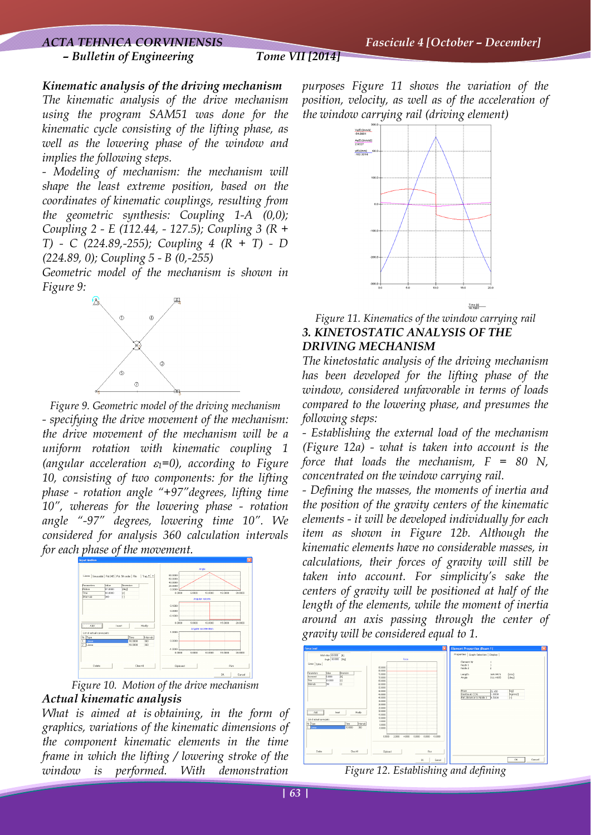### *– Bulletin of Engineering Tome VII [2014]*

*Kinematic analysis of the driving mechanism* 

*The kinematic analysis of the drive mechanism using the program SAM51 was done for the kinematic cycle consisting of the lifting phase, as well as the lowering phase of the window and implies the following steps.* 

*- Modeling of mechanism: the mechanism will shape the least extreme position, based on the coordinates of kinematic couplings, resulting from the geometric synthesis: Coupling 1-A (0,0); Coupling 2 - E (112.44, - 127.5); Coupling 3 (R + T) - C (224.89,-255); Coupling 4 (R + T) - D (224.89, 0); Coupling 5 - B (0,-255)* 

*Geometric model of the mechanism is shown in Figure 9:* 



*Figure 9. Geometric model of the driving mechanism - specifying the drive movement of the mechanism: the drive movement of the mechanism will be a uniform rotation with kinematic coupling 1 (angular acceleration* ε*1=0), according to Figure 10, consisting of two components: for the lifting phase - rotation angle "+97"degrees, lifting time 10", whereas for the lowering phase - rotation angle "-97" degrees, lowering time 10". We considered for analysis 360 calculation intervals for each phase of the movement.* 





*What is aimed at is obtaining, in the form of graphics, variations of the kinematic dimensions of the component kinematic elements in the time frame in which the lifting / lowering stroke of the window is performed. With demonstration* 

*purposes Figure 11 shows the variation of the position, velocity, as well as of the acceleration of the window carrying rail (driving element)* 



*Figure 11. Kinematics of the window carrying rail 3. KINETOSTATIC ANALYSIS OF THE DRIVING MECHANISM*

*The kinetostatic analysis of the driving mechanism has been developed for the lifting phase of the window, considered unfavorable in terms of loads compared to the lowering phase, and presumes the following steps:* 

*- Establishing the external load of the mechanism (Figure 12a) - what is taken into account is the force that loads the mechanism, F = 80 N, concentrated on the window carrying rail.* 

*- Defining the masses, the moments of inertia and the position of the gravity centers of the kinematic elements - it will be developed individually for each item as shown in Figure 12b. Although the kinematic elements have no considerable masses, in calculations, their forces of gravity will still be taken into account. For simplicity's sake the centers of gravity will be positioned at half of the length of the elements, while the moment of inertia around an axis passing through the center of gravity will be considered equal to 1.* 



*Figure 12. Establishing and defining*